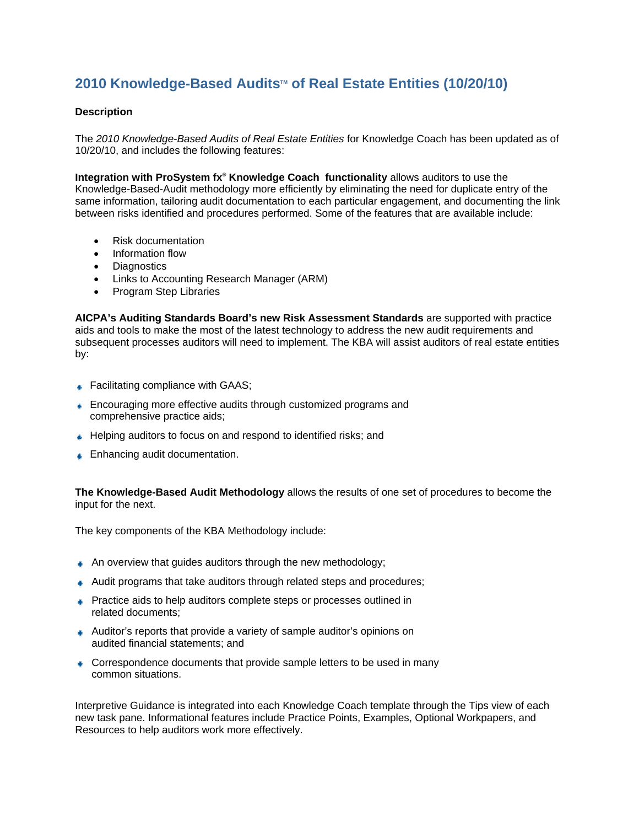## **2010 Knowledge-Based Audits<sup>™</sup> of Real Estate Entities (10/20/10)**

## **Description**

The *2010 Knowledge-Based Audits of Real Estate Entities* for Knowledge Coach has been updated as of 10/20/10, and includes the following features:

**Integration with ProSystem fx<sup>®</sup> Knowledge Coach functionality** allows auditors to use the Knowledge-Based-Audit methodology more efficiently by eliminating the need for duplicate entry of the same information, tailoring audit documentation to each particular engagement, and documenting the link between risks identified and procedures performed. Some of the features that are available include:

- Risk documentation
- Information flow
- Diagnostics
- Links to Accounting Research Manager (ARM)
- Program Step Libraries

**AICPA's Auditing Standards Board's new Risk Assessment Standards** are supported with practice aids and tools to make the most of the latest technology to address the new audit requirements and subsequent processes auditors will need to implement. The KBA will assist auditors of real estate entities by:

- **■** Facilitating compliance with GAAS;
- **Encouraging more effective audits through customized programs and** comprehensive practice aids;
- Helping auditors to focus on and respond to identified risks; and
- **■** Enhancing audit documentation.

**The Knowledge-Based Audit Methodology** allows the results of one set of procedures to become the input for the next.

The key components of the KBA Methodology include:

- An overview that guides auditors through the new methodology;
- Audit programs that take auditors through related steps and procedures;
- **Practice aids to help auditors complete steps or processes outlined in** related documents;
- Auditor's reports that provide a variety of sample auditor's opinions on audited financial statements; and
- Correspondence documents that provide sample letters to be used in many common situations.

Interpretive Guidance is integrated into each Knowledge Coach template through the Tips view of each new task pane. Informational features include Practice Points, Examples, Optional Workpapers, and Resources to help auditors work more effectively.